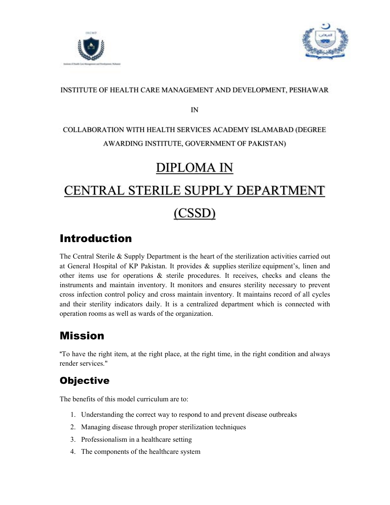



#### INSTITUTE OF HEALTH CARE MANAGEMENT AND DEVELOPMENT, PESHAWAR

IN

## COLLABORATION WITH HEALTH SERVICES ACADEMY ISLAMABAD (DEGREE AWARDING INSTITUTE, GOVERNMENT OF PAKISTAN)

# DIPLOMA IN

# CENTRAL STERILE SUPPLY DEPARTMENT

# (CSSD)

# Introduction

The Central Sterile & Supply Department is the heart of the sterilization activities carried out at General Hospital of KP Pakistan. It provides & supplies sterilize equipment's, linen and other items use for operations  $\&$  sterile procedures. It receives, checks and cleans the instruments and maintain inventory. It monitors and ensures sterility necessary to prevent cross infection control policy and cross maintain inventory. It maintains record of all cycles and their sterility indicators daily. It is a centralized department which is connected with operation rooms as well as wards of the organization.

# Mission

"To have the right item, at the right place, at the right time, in the right condition and always render services."

## **Objective**

The benefits of this model curriculum are to:

- 1. Understanding the correct way to respond to and prevent disease outbreaks
- 2. Managing disease through proper sterilization techniques
- 3. Professionalism in a healthcare setting
- 4. The components of the healthcare system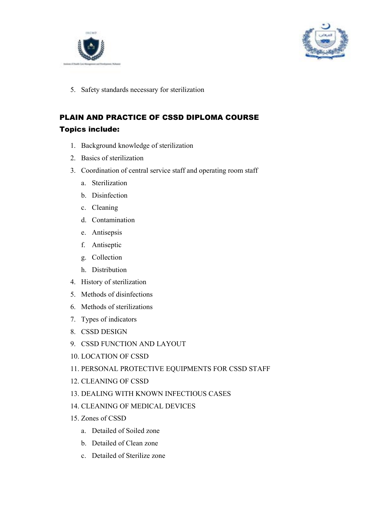



5. Safety standards necessary for sterilization

## PLAIN AND PRACTICE OF CSSD DIPLOMA COURSE Topics include:

- 1. Background knowledge of sterilization
- 2. Basics of sterilization
- 3. Coordination of central service staff and operating room staff
	- a. Sterilization
	- b. Disinfection
	- c. Cleaning
	- d. Contamination
	- e. Antisepsis
	- f. Antiseptic
	- g. Collection
	- h. Distribution
- 4. History of sterilization
- 5. Methods of disinfections
- 6. Methods of sterilizations
- 7. Types of indicators
- 8. CSSD DESIGN
- 9. CSSD FUNCTION AND LAYOUT
- 10. LOCATION OF CSSD
- 11. PERSONAL PROTECTIVE EQUIPMENTS FOR CSSD STAFF
- 12. CLEANING OF CSSD
- 13. DEALING WITH KNOWN INFECTIOUS CASES
- 14. CLEANING OF MEDICAL DEVICES
- 15. Zones of CSSD
	- a. Detailed of Soiled zone
	- b. Detailed of Clean zone
	- c. Detailed of Sterilize zone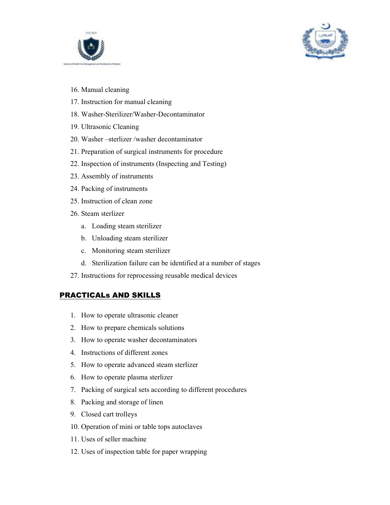



- 16. Manual cleaning
- 17. Instruction for manual cleaning
- 18. Washer-Sterilizer/Washer-Decontaminator
- 19. Ultrasonic Cleaning
- 20. Washer –sterlizer /washer decontaminator
- 21. Preparation of surgical instruments for procedure
- 22. Inspection of instruments (Inspecting and Testing)
- 23. Assembly of instruments
- 24. Packing of instruments
- 25. Instruction of clean zone
- 26. Steam sterlizer
	- a. Loading steam sterilizer
	- b. Unloading steam sterilizer
	- c. Monitoring steam sterilizer
	- d. Sterilization failure can be identified at a number of stages
- 27. Instructions for reprocessing reusable medical devices

#### PRACTICALs AND SKILLS

- 1. How to operate ultrasonic cleaner
- 2. How to prepare chemicals solutions
- 3. How to operate washer decontaminators
- 4. Instructions of different zones
- 5. How to operate advanced steam sterlizer
- 6. How to operate plasma sterlizer
- 7. Packing of surgical sets according to different procedures
- 8. Packing and storage of linen
- 9. Closed cart trolleys
- 10. Operation of mini or table tops autoclaves
- 11. Uses of seller machine
- 12. Uses of inspection table for paper wrapping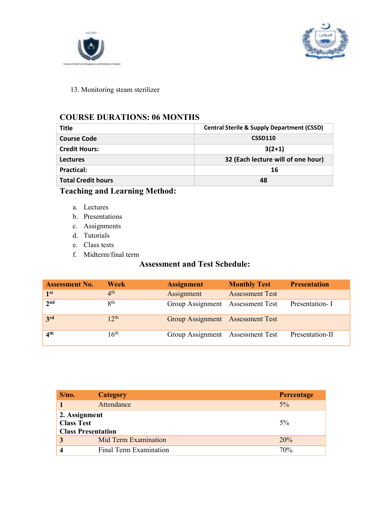



13. Monitoring steam sterilizer

### COURSE DURATIONS: 06 MONTHS

| <b>Title</b>              | <b>Central Sterile &amp; Supply Department (CSSD)</b> |  |  |
|---------------------------|-------------------------------------------------------|--|--|
| <b>Course Code</b>        | <b>CSSD110</b>                                        |  |  |
| <b>Credit Hours:</b>      | $3(2+1)$                                              |  |  |
| <b>Lectures</b>           | 32 (Each lecture will of one hour)                    |  |  |
| Practical:                | 16                                                    |  |  |
| <b>Total Credit hours</b> | 48                                                    |  |  |

## Teaching and Learning Method:

- a. Lectures
- b. Presentations
- c. Assignments
- d. Tutorials
- e. Class tests
- f. Midterm/final term

## Assessment and Test Schedule:

| <b>Assessment No.</b> | <b>Week</b>      | <b>Assignment</b>                | <b>Monthly Test</b>    | <b>Presentation</b> |
|-----------------------|------------------|----------------------------------|------------------------|---------------------|
| 1 <sup>st</sup>       | 4 <sup>th</sup>  | Assignment                       | <b>Assessment Test</b> |                     |
| $2^{nd}$              | 8 <sup>th</sup>  | Group Assignment Assessment Test |                        | Presentation- I     |
| 3 <sup>rd</sup>       | 12 <sup>th</sup> | Group Assignment Assessment Test |                        |                     |
| 4 <sup>th</sup>       | 16 <sup>th</sup> | Group Assignment Assessment Test |                        | Presentation-II     |

| S/no.                                                           | <b>Category</b>        | Percentage |
|-----------------------------------------------------------------|------------------------|------------|
|                                                                 | Attendance             | $5\%$      |
| 2. Assignment<br><b>Class Test</b><br><b>Class Presentation</b> |                        | $5\%$      |
| 3                                                               | Mid Term Examination   | 20%        |
|                                                                 | Final Term Examination | 70%        |